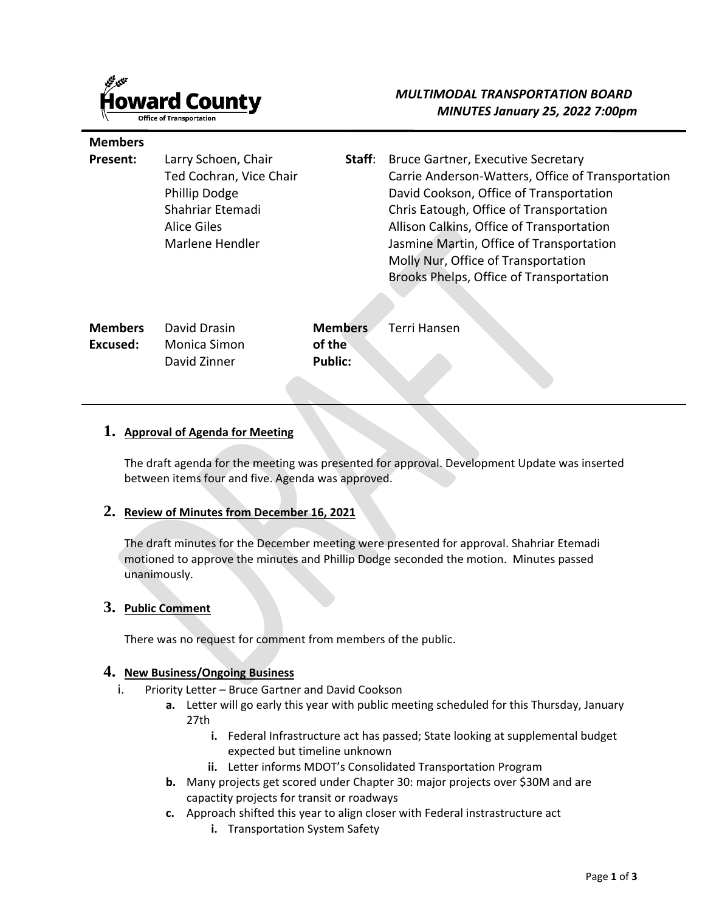

**Members** 

# *MULTIMODAL TRANSPORTATION BOARD MINUTES January 25, 2022 7:00pm*

| Present:       | Larry Schoen, Chair<br>Ted Cochran, Vice Chair<br>Phillip Dodge<br>Shahriar Etemadi<br><b>Alice Giles</b><br>Marlene Hendler | Staff:                   | <b>Bruce Gartner, Executive Secretary</b><br>Carrie Anderson-Watters, Office of Transportation<br>David Cookson, Office of Transportation<br>Chris Eatough, Office of Transportation<br>Allison Calkins, Office of Transportation<br>Jasmine Martin, Office of Transportation<br>Molly Nur, Office of Transportation<br>Brooks Phelps, Office of Transportation |
|----------------|------------------------------------------------------------------------------------------------------------------------------|--------------------------|-----------------------------------------------------------------------------------------------------------------------------------------------------------------------------------------------------------------------------------------------------------------------------------------------------------------------------------------------------------------|
| <b>Members</b> | David Drasin                                                                                                                 | <b>Members</b>           | Terri Hansen                                                                                                                                                                                                                                                                                                                                                    |
| Excused:       | <b>Monica Simon</b><br>David Zinner                                                                                          | of the<br><b>Public:</b> |                                                                                                                                                                                                                                                                                                                                                                 |

#### **1. Approval of Agenda for Meeting**

The draft agenda for the meeting was presented for approval. Development Update was inserted between items four and five. Agenda was approved.

## **2. Review of Minutes from December 16, 2021**

The draft minutes for the December meeting were presented for approval. Shahriar Etemadi motioned to approve the minutes and Phillip Dodge seconded the motion. Minutes passed unanimously.

## **3. Public Comment**

There was no request for comment from members of the public.

#### **4. New Business/Ongoing Business**

- i. Priority Letter Bruce Gartner and David Cookson
	- **a.** Letter will go early this year with public meeting scheduled for this Thursday, January 27th
		- **i.** Federal Infrastructure act has passed; State looking at supplemental budget expected but timeline unknown
		- **ii.** Letter informs MDOT's Consolidated Transportation Program
	- **b.** Many projects get scored under Chapter 30: major projects over \$30M and are capactity projects for transit or roadways
	- **c.** Approach shifted this year to align closer with Federal instrastructure act
		- **i.** Transportation System Safety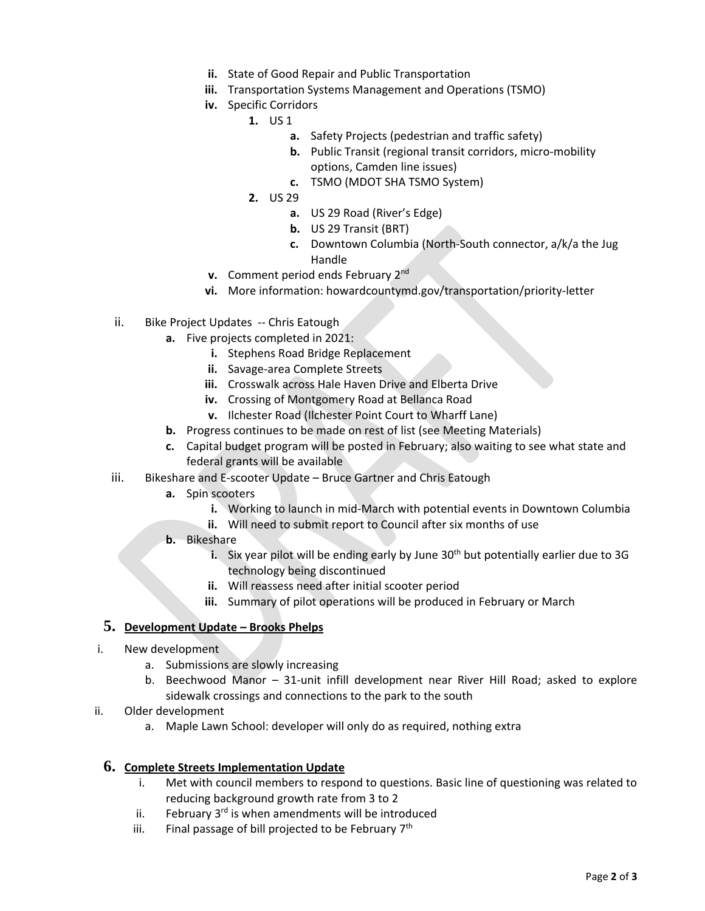- **ii.** State of Good Repair and Public Transportation
- **iii.** Transportation Systems Management and Operations (TSMO)
- **iv.** Specific Corridors
	- **1.** US 1
		- **a.** Safety Projects (pedestrian and traffic safety)
		- **b.** Public Transit (regional transit corridors, micro-mobility options, Camden line issues)
		- **c.** TSMO (MDOT SHA TSMO System)
	- **2.** US 29
		- **a.** US 29 Road (River's Edge)
		- **b.** US 29 Transit (BRT)
		- **c.** Downtown Columbia (North-South connector, a/k/a the Jug Handle
- **v.** Comment period ends February 2nd
- **vi.** More information: howardcountymd.gov/transportation/priority-letter
- ii. Bike Project Updates -- Chris Eatough
	- **a.** Five projects completed in 2021:
		- **i.** Stephens Road Bridge Replacement
		- **ii.** Savage-area Complete Streets
		- **iii.** Crosswalk across Hale Haven Drive and Elberta Drive
		- **iv.** Crossing of Montgomery Road at Bellanca Road
		- **v.** Ilchester Road (Ilchester Point Court to Wharff Lane)
	- **b.** Progress continues to be made on rest of list (see Meeting Materials)
	- **c.** Capital budget program will be posted in February; also waiting to see what state and federal grants will be available
- iii. Bikeshare and E-scooter Update Bruce Gartner and Chris Eatough
	- **a.** Spin scooters
		- **i.** Working to launch in mid-March with potential events in Downtown Columbia
		- **ii.** Will need to submit report to Council after six months of use
	- **b.** Bikeshare
		- **i.** Six year pilot will be ending early by June 30<sup>th</sup> but potentially earlier due to 3G technology being discontinued
		- **ii.** Will reassess need after initial scooter period
		- **iii.** Summary of pilot operations will be produced in February or March

## **5. Development Update – Brooks Phelps**

- i. New development
	- a. Submissions are slowly increasing
	- b. Beechwood Manor 31-unit infill development near River Hill Road; asked to explore sidewalk crossings and connections to the park to the south
- ii. Older development
	- a. Maple Lawn School: developer will only do as required, nothing extra

## **6. Complete Streets Implementation Update**

- i. Met with council members to respond to questions. Basic line of questioning was related to reducing background growth rate from 3 to 2
- ii. February  $3<sup>rd</sup>$  is when amendments will be introduced
- iii. Final passage of bill projected to be February  $7<sup>th</sup>$